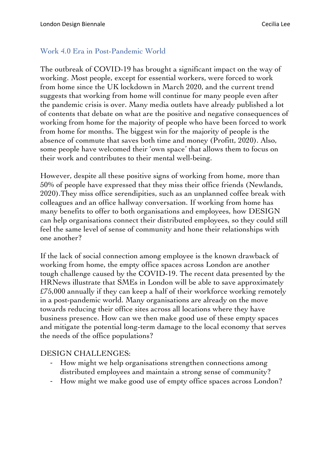## Work 4.0 Era in Post-Pandemic World

The outbreak of COVID-19 has brought a significant impact on the way of working. Most people, except for essential workers, were forced to work from home since the UK lockdown in March 2020, and the current trend suggests that working from home will continue for many people even after the pandemic crisis is over. Many media outlets have already published a lot of contents that debate on what are the positive and negative consequences of working from home for the majority of people who have been forced to work from home for months. The biggest win for the majority of people is the absence of commute that saves both time and money (Profitt, 2020). Also, some people have welcomed their 'own space' that allows them to focus on their work and contributes to their mental well-being.

However, despite all these positive signs of working from home, more than 50% of people have expressed that they miss their office friends (Newlands, 2020).They miss office serendipities, such as an unplanned coffee break with colleagues and an office hallway conversation. If working from home has many benefits to offer to both organisations and employees, how DESIGN can help organisations connect their distributed employees, so they could still feel the same level of sense of community and hone their relationships with one another?

If the lack of social connection among employee is the known drawback of working from home, the empty office spaces across London are another tough challenge caused by the COVID-19. The recent data presented by the HRNews illustrate that SMEs in London will be able to save approximately £75,000 annually if they can keep a half of their workforce working remotely in a post-pandemic world. Many organisations are already on the move towards reducing their office sites across all locations where they have business presence. How can we then make good use of these empty spaces and mitigate the potential long-term damage to the local economy that serves the needs of the office populations?

## DESIGN CHALLENGES:

- How might we help organisations strengthen connections among distributed employees and maintain a strong sense of community?
- How might we make good use of empty office spaces across London?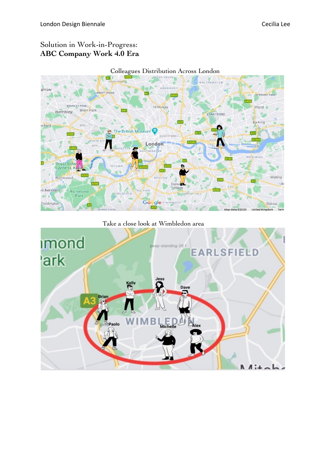# Solution in Work-in-Progress: **ABC Company Work 4.0 Era**



#### Take a close look at Wimbledon area